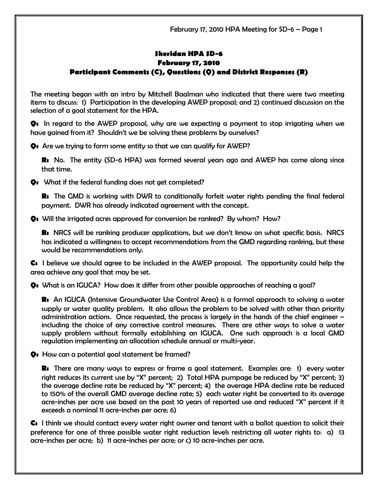## Sheridan HPA SD-6 February 17, 2010 Participant Comments (C), Questions (Q) and District Responses (R)

The meeting began with an intro by Mitchell Baalman who indicated that there were two meeting items to discuss: 1) Participation in the developing AWEP proposal; and 2) continued discussion on the selection of a goal statement for the HPA.

Q: In regard to the AWEP proposal, why are we expecting a payment to stop irrigating when we have gained from it? Shouldn't we be solving these problems by ourselves?

Q: Are we trying to form some entity so that we can qualify for AWEP?

R: No. The entity (SD-6 HPA) was formed several years ago and AWEP has come along since that time.

Q: What if the federal funding does not get completed?

**R:** The GMD is working with DWR to conditionally forfeit water rights pending the final federal payment. DWR has already indicated agreement with the concept.

Q: Will the irrigated acres approved for conversion be ranked? By whom? How?

R: NRCS will be ranking producer applications, but we don't know on what specific basis. NRCS has indicated a willingness to accept recommendations from the GMD regarding ranking, but these would be recommendations only.

C: I believe we should agree to be included in the AWEP proposal. The opportunity could help the area achieve any goal that may be set.

Q: What is an IGUCA? How does it differ from other possible approaches of reaching a goal?

R: An IGUCA (Intensive Groundwater Use Control Area) is a formal approach to solving a water supply or water quality problem. It also allows the problem to be solved with other than priority administration actions. Once requested, the process is largely in the hands of the chief engineer – including the choice of any corrective control measures. There are other ways to solve a water supply problem without formally establishing an IGUCA. One such approach is a local GMD regulation implementing an allocation schedule annual or multi-year.

Q: How can a potential goal statement be framed?

R: There are many ways to express or frame a goal statement. Examples are: 1) every water right reduces its current use by "X" percent; 2) Total HPA pumpage be reduced by "X" percent; 3) the average decline rate be reduced by "X" percent; 4) the average HPA decline rate be reduced to 150% of the overall GMD average decline rate; 5) each water right be converted to its average acre-inches per acre use based on the past 10 years of reported use and reduced "X" percent if it exceeds a nominal 11 acre-inches per acre; 6)

C: I think we should contact every water right owner and tenant with a ballot question to solicit their preference for one of three possible water right reduction levels restricting all water rights to: a) 13 acre-inches per acre; b) 11 acre-inches per acre; or c) 10 acre-inches per acre.